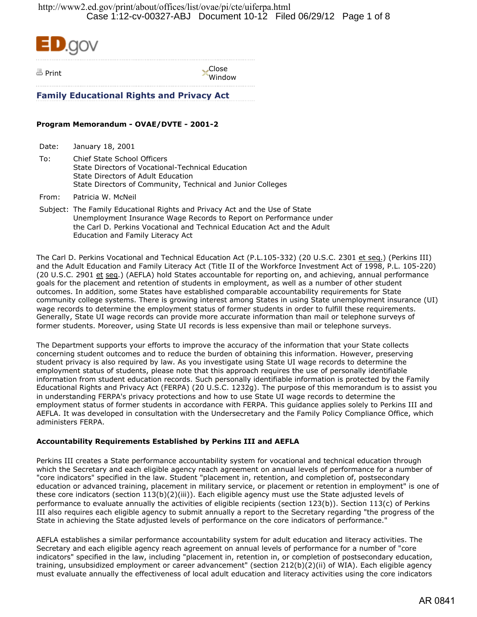

Print Close Window

**Family Educational Rights and Privacy Act**

## **Program Memorandum - OVAE/DVTE - 2001-2**

Date: January 18, 2001

To: Chief State School Officers State Directors of Vocational-Technical Education State Directors of Adult Education State Directors of Community, Technical and Junior Colleges

From: Patricia W. McNeil

Subject: The Family Educational Rights and Privacy Act and the Use of State Unemployment Insurance Wage Records to Report on Performance under the Carl D. Perkins Vocational and Technical Education Act and the Adult Education and Family Literacy Act

The Carl D. Perkins Vocational and Technical Education Act (P.L.105-332) (20 U.S.C. 2301 et seq.) (Perkins III) and the Adult Education and Family Literacy Act (Title II of the Workforce Investment Act of 1998, P.L. 105-220) (20 U.S.C. 2901 et seq.) (AEFLA) hold States accountable for reporting on, and achieving, annual performance goals for the placement and retention of students in employment, as well as a number of other student outcomes. In addition, some States have established comparable accountability requirements for State community college systems. There is growing interest among States in using State unemployment insurance (UI) wage records to determine the employment status of former students in order to fulfill these requirements. Generally, State UI wage records can provide more accurate information than mail or telephone surveys of former students. Moreover, using State UI records is less expensive than mail or telephone surveys.

The Department supports your efforts to improve the accuracy of the information that your State collects concerning student outcomes and to reduce the burden of obtaining this information. However, preserving student privacy is also required by law. As you investigate using State UI wage records to determine the employment status of students, please note that this approach requires the use of personally identifiable information from student education records. Such personally identifiable information is protected by the Family Educational Rights and Privacy Act (FERPA) (20 U.S.C. 1232g). The purpose of this memorandum is to assist you in understanding FERPA's privacy protections and how to use State UI wage records to determine the employment status of former students in accordance with FERPA. This guidance applies solely to Perkins III and AEFLA. It was developed in consultation with the Undersecretary and the Family Policy Compliance Office, which administers FERPA.

## **Accountability Requirements Established by Perkins III and AEFLA**

Perkins III creates a State performance accountability system for vocational and technical education through which the Secretary and each eligible agency reach agreement on annual levels of performance for a number of "core indicators" specified in the law. Student "placement in, retention, and completion of, postsecondary education or advanced training, placement in military service, or placement or retention in employment" is one of these core indicators (section 113(b)(2)(iii)). Each eligible agency must use the State adjusted levels of performance to evaluate annually the activities of eligible recipients (section 123(b)). Section 113(c) of Perkins III also requires each eligible agency to submit annually a report to the Secretary regarding "the progress of the State in achieving the State adjusted levels of performance on the core indicators of performance."

AEFLA establishes a similar performance accountability system for adult education and literacy activities. The Secretary and each eligible agency reach agreement on annual levels of performance for a number of "core indicators" specified in the law, including "placement in, retention in, or completion of postsecondary education, training, unsubsidized employment or career advancement" (section 212(b)(2)(ii) of WIA). Each eligible agency must evaluate annually the effectiveness of local adult education and literacy activities using the core indicators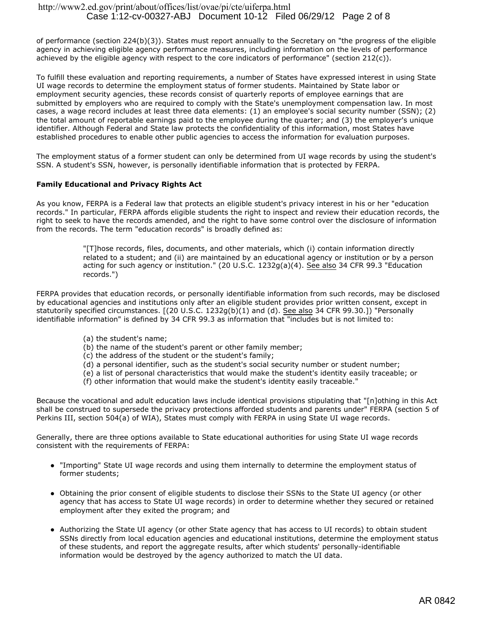of performance (section 224(b)(3)). States must report annually to the Secretary on "the progress of the eligible agency in achieving eligible agency performance measures, including information on the levels of performance achieved by the eligible agency with respect to the core indicators of performance" (section 212(c)).

To fulfill these evaluation and reporting requirements, a number of States have expressed interest in using State UI wage records to determine the employment status of former students. Maintained by State labor or employment security agencies, these records consist of quarterly reports of employee earnings that are submitted by employers who are required to comply with the State's unemployment compensation law. In most cases, a wage record includes at least three data elements: (1) an employee's social security number (SSN); (2) the total amount of reportable earnings paid to the employee during the quarter; and (3) the employer's unique identifier. Although Federal and State law protects the confidentiality of this information, most States have established procedures to enable other public agencies to access the information for evaluation purposes.

The employment status of a former student can only be determined from UI wage records by using the student's SSN. A student's SSN, however, is personally identifiable information that is protected by FERPA.

## **Family Educational and Privacy Rights Act**

As you know, FERPA is a Federal law that protects an eligible student's privacy interest in his or her "education records." In particular, FERPA affords eligible students the right to inspect and review their education records, the right to seek to have the records amended, and the right to have some control over the disclosure of information from the records. The term "education records" is broadly defined as:

> "[T]hose records, files, documents, and other materials, which (i) contain information directly related to a student; and (ii) are maintained by an educational agency or institution or by a person acting for such agency or institution." (20 U.S.C. 1232g(a)(4). See also 34 CFR 99.3 "Education records.")

FERPA provides that education records, or personally identifiable information from such records, may be disclosed by educational agencies and institutions only after an eligible student provides prior written consent, except in statutorily specified circumstances. [(20 U.S.C. 1232g(b)(1) and (d). See also 34 CFR 99.30.]) "Personally identifiable information" is defined by 34 CFR 99.3 as information that "includes but is not limited to:

- (a) the student's name;
- (b) the name of the student's parent or other family member;
- (c) the address of the student or the student's family;
- (d) a personal identifier, such as the student's social security number or student number;
- (e) a list of personal characteristics that would make the student's identity easily traceable; or
- (f) other information that would make the student's identity easily traceable."

Because the vocational and adult education laws include identical provisions stipulating that "[n]othing in this Act shall be construed to supersede the privacy protections afforded students and parents under" FERPA (section 5 of Perkins III, section 504(a) of WIA), States must comply with FERPA in using State UI wage records.

Generally, there are three options available to State educational authorities for using State UI wage records consistent with the requirements of FERPA:

- "Importing" State UI wage records and using them internally to determine the employment status of former students;
- Obtaining the prior consent of eligible students to disclose their SSNs to the State UI agency (or other agency that has access to State UI wage records) in order to determine whether they secured or retained employment after they exited the program; and
- Authorizing the State UI agency (or other State agency that has access to UI records) to obtain student SSNs directly from local education agencies and educational institutions, determine the employment status of these students, and report the aggregate results, after which students' personally-identifiable information would be destroyed by the agency authorized to match the UI data.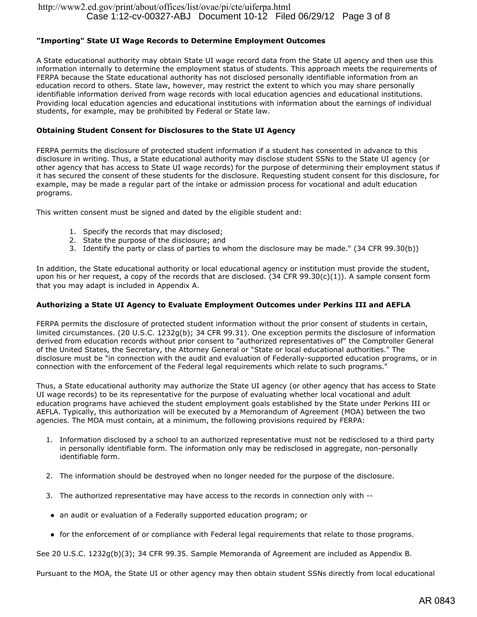## **"Importing" State UI Wage Records to Determine Employment Outcomes**

A State educational authority may obtain State UI wage record data from the State UI agency and then use this information internally to determine the employment status of students. This approach meets the requirements of FERPA because the State educational authority has not disclosed personally identifiable information from an education record to others. State law, however, may restrict the extent to which you may share personally identifiable information derived from wage records with local education agencies and educational institutions. Providing local education agencies and educational institutions with information about the earnings of individual students, for example, may be prohibited by Federal or State law.

#### **Obtaining Student Consent for Disclosures to the State UI Agency**

FERPA permits the disclosure of protected student information if a student has consented in advance to this disclosure in writing. Thus, a State educational authority may disclose student SSNs to the State UI agency (or other agency that has access to State UI wage records) for the purpose of determining their employment status if it has secured the consent of these students for the disclosure. Requesting student consent for this disclosure, for example, may be made a regular part of the intake or admission process for vocational and adult education programs.

This written consent must be signed and dated by the eligible student and:

- 1. Specify the records that may disclosed;
- 2. State the purpose of the disclosure; and
- 3. Identify the party or class of parties to whom the disclosure may be made." (34 CFR 99.30(b))

In addition, the State educational authority or local educational agency or institution must provide the student, upon his or her request, a copy of the records that are disclosed.  $(34$  CFR 99.30(c)(1)). A sample consent form that you may adapt is included in Appendix A.

### **Authorizing a State UI Agency to Evaluate Employment Outcomes under Perkins III and AEFLA**

FERPA permits the disclosure of protected student information without the prior consent of students in certain, limited circumstances. (20 U.S.C. 1232g(b); 34 CFR 99.31). One exception permits the disclosure of information derived from education records without prior consent to "authorized representatives of" the Comptroller General of the United States, the Secretary, the Attorney General or "State or local educational authorities." The disclosure must be "in connection with the audit and evaluation of Federally-supported education programs, or in connection with the enforcement of the Federal legal requirements which relate to such programs."

Thus, a State educational authority may authorize the State UI agency (or other agency that has access to State UI wage records) to be its representative for the purpose of evaluating whether local vocational and adult education programs have achieved the student employment goals established by the State under Perkins III or AEFLA. Typically, this authorization will be executed by a Memorandum of Agreement (MOA) between the two agencies. The MOA must contain, at a minimum, the following provisions required by FERPA:

- 1. Information disclosed by a school to an authorized representative must not be redisclosed to a third party in personally identifiable form. The information only may be redisclosed in aggregate, non-personally identifiable form.
- 2. The information should be destroyed when no longer needed for the purpose of the disclosure.
- 3. The authorized representative may have access to the records in connection only with --
- an audit or evaluation of a Federally supported education program; or
- for the enforcement of or compliance with Federal legal requirements that relate to those programs.

See 20 U.S.C. 1232g(b)(3); 34 CFR 99.35. Sample Memoranda of Agreement are included as Appendix B.

Pursuant to the MOA, the State UI or other agency may then obtain student SSNs directly from local educational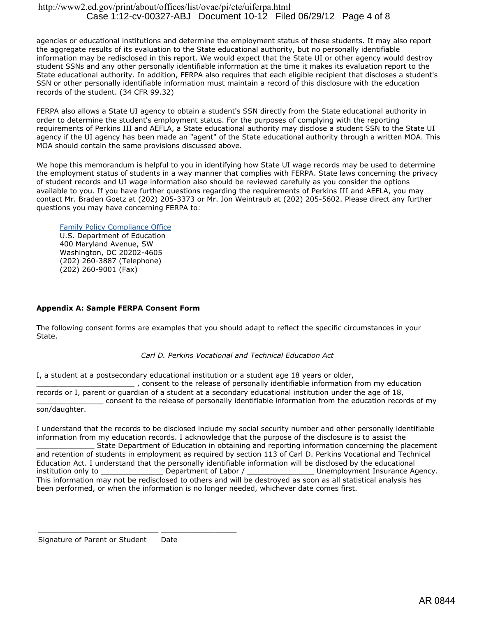agencies or educational institutions and determine the employment status of these students. It may also report the aggregate results of its evaluation to the State educational authority, but no personally identifiable information may be redisclosed in this report. We would expect that the State UI or other agency would destroy student SSNs and any other personally identifiable information at the time it makes its evaluation report to the State educational authority. In addition, FERPA also requires that each eligible recipient that discloses a student's SSN or other personally identifiable information must maintain a record of this disclosure with the education records of the student. (34 CFR 99.32)

FERPA also allows a State UI agency to obtain a student's SSN directly from the State educational authority in order to determine the student's employment status. For the purposes of complying with the reporting requirements of Perkins III and AEFLA, a State educational authority may disclose a student SSN to the State UI agency if the UI agency has been made an "agent" of the State educational authority through a written MOA. This MOA should contain the same provisions discussed above.

We hope this memorandum is helpful to you in identifying how State UI wage records may be used to determine the employment status of students in a way manner that complies with FERPA. State laws concerning the privacy of student records and UI wage information also should be reviewed carefully as you consider the options available to you. If you have further questions regarding the requirements of Perkins III and AEFLA, you may contact Mr. Braden Goetz at (202) 205-3373 or Mr. Jon Weintraub at (202) 205-5602. Please direct any further questions you may have concerning FERPA to:

Family Policy Compliance Office

U.S. Department of Education 400 Maryland Avenue, SW Washington, DC 20202-4605 (202) 260-3887 (Telephone) (202) 260-9001 (Fax)

## **Appendix A: Sample FERPA Consent Form**

The following consent forms are examples that you should adapt to reflect the specific circumstances in your State.

### *Carl D. Perkins Vocational and Technical Education Act*

I, a student at a postsecondary educational institution or a student age 18 years or older, \_\_\_\_\_\_\_\_\_\_\_\_\_\_\_\_\_\_\_\_\_\_ , consent to the release of personally identifiable information from my education records or I, parent or guardian of a student at a secondary educational institution under the age of 18, consent to the release of personally identifiable information from the education records of my son/daughter.

I understand that the records to be disclosed include my social security number and other personally identifiable information from my education records. I acknowledge that the purpose of the disclosure is to assist the State Department of Education in obtaining and reporting information concerning the placement and retention of students in employment as required by section 113 of Carl D. Perkins Vocational and Technical Education Act. I understand that the personally identifiable information will be disclosed by the educational<br>institution only to \_\_\_\_\_\_\_\_\_\_\_\_\_\_\_\_\_\_\_Department of Labor / \_\_\_\_\_\_\_\_\_\_\_\_\_\_\_\_\_\_\_\_\_\_\_\_\_Unemployment Insurance A institution only to example permit of Labor / contract of Labor / contract Agency. This information may not be redisclosed to others and will be destroyed as soon as all statistical analysis has been performed, or when the information is no longer needed, whichever date comes first.

Signature of Parent or Student Date

\_\_\_\_\_\_\_\_\_\_\_\_\_\_\_\_\_\_\_\_\_\_\_\_\_\_\_ \_\_\_\_\_\_\_\_\_\_\_\_\_\_\_\_\_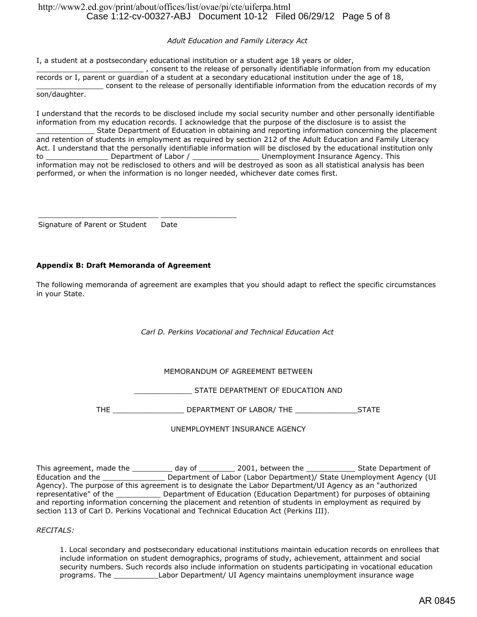## http://www2.ed.gov/print/about/offices/list/ovae/pi/cte/uiferpa.html Case 1:12-cv-00327-ABJ Document 10-12 Filed 06/29/12 Page 5 of 8

### *Adult Education and Family Literacy Act*

I, a student at a postsecondary educational institution or a student age 18 years or older,

\_\_\_\_\_\_\_\_\_\_\_\_\_\_\_\_\_\_\_\_\_\_\_\_ , consent to the release of personally identifiable information from my education records or I, parent or guardian of a student at a secondary educational institution under the age of 18, \_\_\_\_\_\_\_\_\_\_\_\_\_\_\_ consent to the release of personally identifiable information from the education records of my son/daughter.

I understand that the records to be disclosed include my social security number and other personally identifiable information from my education records. I acknowledge that the purpose of the disclosure is to assist the State Department of Education in obtaining and reporting information concerning the placement and retention of students in employment as required by section 212 of the Adult Education and Family Literacy Act. I understand that the personally identifiable information will be disclosed by the educational institution only to \_\_\_\_\_\_\_\_\_\_\_\_\_\_\_\_\_\_\_\_\_\_Department of Labor / \_\_\_\_\_\_\_\_\_\_\_\_\_\_\_\_\_\_\_\_\_\_\_\_Unemployment Insurance Agency. This information may not be redisclosed to others and will be destroyed as soon as all statistical analysis has been performed, or when the information is no longer needed, whichever date comes first.

Signature of Parent or Student Date

## **Appendix B: Draft Memoranda of Agreement**

\_\_\_\_\_\_\_\_\_\_\_\_\_\_\_\_\_\_\_\_\_\_\_\_\_\_\_ \_\_\_\_\_\_\_\_\_\_\_\_\_\_\_\_\_

The following memoranda of agreement are examples that you should adapt to reflect the specific circumstances in your State.

## *Carl D. Perkins Vocational and Technical Education Act*

## MEMORANDUM OF AGREEMENT BETWEEN

\_\_\_\_\_\_\_\_\_\_\_\_\_ STATE DEPARTMENT OF EDUCATION AND

THE \_\_\_\_\_\_\_\_\_\_\_\_\_\_\_\_ DEPARTMENT OF LABOR/ THE \_\_\_\_\_\_\_\_\_\_\_\_\_\_STATE

### UNEMPLOYMENT INSURANCE AGENCY

This agreement, made the \_\_\_\_\_\_\_\_\_\_ day of \_\_\_\_\_\_\_\_\_\_ 2001, between the \_\_\_\_\_\_\_\_\_\_\_\_\_\_\_ State Department of Education and the \_\_\_\_\_\_\_\_\_\_\_\_\_\_ Department of Labor (Labor Department)/ State Unemployment Agency (UI Agency). The purpose of this agreement is to designate the Labor Department/UI Agency as an "authorized representative" of the \_\_\_\_\_\_\_\_\_\_ Department of Education (Education Department) for purposes of obtaining and reporting information concerning the placement and retention of students in employment as required by section 113 of Carl D. Perkins Vocational and Technical Education Act (Perkins III).

*RECITALS:*

1. Local secondary and postsecondary educational institutions maintain education records on enrollees that include information on student demographics, programs of study, achievement, attainment and social security numbers. Such records also include information on students participating in vocational education programs. The \_\_\_\_\_\_\_\_\_\_Labor Department/ UI Agency maintains unemployment insurance wage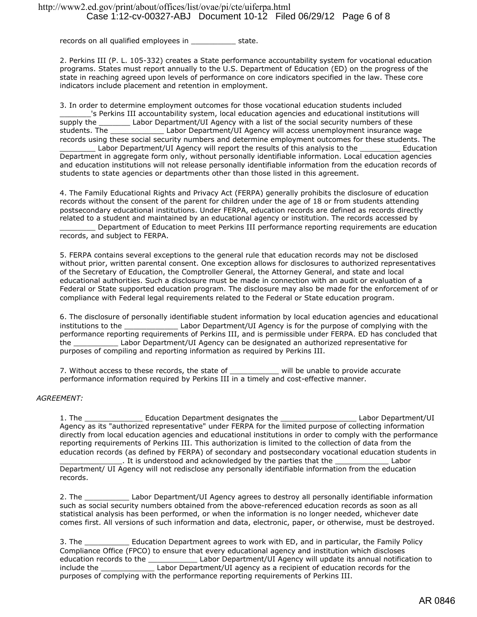records on all qualified employees in \_\_\_\_\_\_\_\_\_\_\_\_ state.

2. Perkins III (P. L. 105-332) creates a State performance accountability system for vocational education programs. States must report annually to the U.S. Department of Education (ED) on the progress of the state in reaching agreed upon levels of performance on core indicators specified in the law. These core indicators include placement and retention in employment.

3. In order to determine employment outcomes for those vocational education students included 's Perkins III accountability system, local education agencies and educational institutions will supply the **Labor Department/UI Agency with a list of the social security numbers of these** students. The **Example 20 Labor Department/UI Agency will access unemployment insurance wage** records using these social security numbers and determine employment outcomes for these students. The Labor Department/UI Agency will report the results of this analysis to the Teducation Department in aggregate form only, without personally identifiable information. Local education agencies and education institutions will not release personally identifiable information from the education records of students to state agencies or departments other than those listed in this agreement.

4. The Family Educational Rights and Privacy Act (FERPA) generally prohibits the disclosure of education records without the consent of the parent for children under the age of 18 or from students attending postsecondary educational institutions. Under FERPA, education records are defined as records directly related to a student and maintained by an educational agency or institution. The records accessed by \_\_\_\_\_\_\_\_ Department of Education to meet Perkins III performance reporting requirements are education records, and subject to FERPA.

5. FERPA contains several exceptions to the general rule that education records may not be disclosed without prior, written parental consent. One exception allows for disclosures to authorized representatives of the Secretary of Education, the Comptroller General, the Attorney General, and state and local educational authorities. Such a disclosure must be made in connection with an audit or evaluation of a Federal or State supported education program. The disclosure may also be made for the enforcement of or compliance with Federal legal requirements related to the Federal or State education program.

6. The disclosure of personally identifiable student information by local education agencies and educational institutions to the \_\_\_\_\_\_\_\_\_\_\_\_ Labor Department/UI Agency is for the purpose of complying with the performance reporting requirements of Perkins III, and is permissible under FERPA. ED has concluded that the \_\_\_\_\_\_\_\_\_\_ Labor Department/UI Agency can be designated an authorized representative for purposes of compiling and reporting information as required by Perkins III.

7. Without access to these records, the state of \_\_\_\_\_\_\_\_\_\_\_\_ will be unable to provide accurate performance information required by Perkins III in a timely and cost-effective manner.

### *AGREEMENT:*

1. The \_\_\_\_\_\_\_\_\_\_\_\_\_\_\_\_\_\_ Education Department designates the \_\_\_\_\_\_\_\_\_\_\_\_\_\_\_\_\_\_ Labor Department/UI Agency as its "authorized representative" under FERPA for the limited purpose of collecting information directly from local education agencies and educational institutions in order to comply with the performance reporting requirements of Perkins III. This authorization is limited to the collection of data from the education records (as defined by FERPA) of secondary and postsecondary vocational education students in

. It is understood and acknowledged by the parties that the electromagned that the parties that the  $\mu$ Department/ UI Agency will not redisclose any personally identifiable information from the education records.

2. The \_\_\_\_\_\_\_\_\_\_ Labor Department/UI Agency agrees to destroy all personally identifiable information such as social security numbers obtained from the above-referenced education records as soon as all statistical analysis has been performed, or when the information is no longer needed, whichever date comes first. All versions of such information and data, electronic, paper, or otherwise, must be destroyed.

3. The **Education Department agrees to work with ED**, and in particular, the Family Policy Compliance Office (FPCO) to ensure that every educational agency and institution which discloses education records to the \_\_\_\_\_\_\_\_\_\_\_\_\_\_\_Labor Department/UI Agency will update its annual notification to include the \_\_\_\_\_\_\_\_\_\_\_\_ Labor Department/UI agency as a recipient of education records for the purposes of complying with the performance reporting requirements of Perkins III.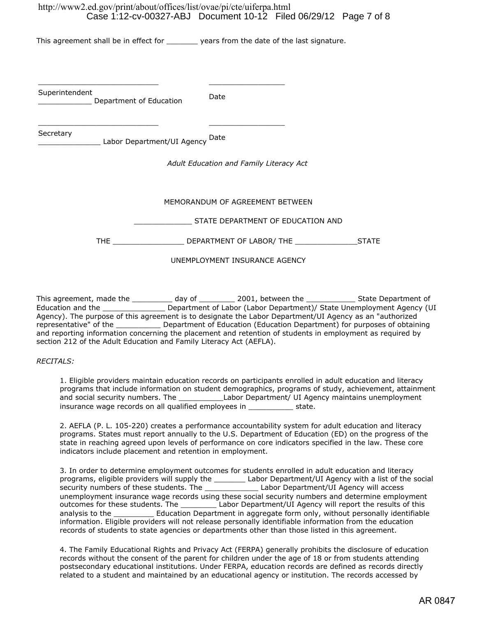# http://www2.ed.gov/print/about/offices/list/ovae/pi/cte/uiferpa.html Case 1:12-cv-00327-ABJ Document 10-12 Filed 06/29/12 Page 7 of 8

This agreement shall be in effect for example years from the date of the last signature.

Superintendent permement of Education Date Date

Secretary

\_\_\_\_\_\_\_\_\_\_\_\_\_\_ Labor Department/UI Agency Date

\_\_\_\_\_\_\_\_\_\_\_\_\_\_\_\_\_\_\_\_\_\_\_\_\_\_\_ \_\_\_\_\_\_\_\_\_\_\_\_\_\_\_\_\_

\_\_\_\_\_\_\_\_\_\_\_\_\_\_\_\_\_\_\_\_\_\_\_\_\_\_\_ \_\_\_\_\_\_\_\_\_\_\_\_\_\_\_\_\_

*Adult Education and Family Literacy Act*

## MEMORANDUM OF AGREEMENT BETWEEN

\_\_\_\_\_\_\_\_\_\_\_\_\_ STATE DEPARTMENT OF EDUCATION AND

THE THE DEPARTMENT OF LABOR/ THE STATE

UNEMPLOYMENT INSURANCE AGENCY

This agreement, made the \_\_\_\_\_\_\_\_\_\_ day of \_\_\_\_\_\_\_\_\_\_ 2001, between the \_\_\_\_\_\_\_\_\_\_\_\_\_\_\_ State Department of Education and the \_\_\_\_\_\_\_\_\_\_\_\_\_\_ Department of Labor (Labor Department)/ State Unemployment Agency (UI Agency). The purpose of this agreement is to designate the Labor Department/UI Agency as an "authorized representative" of the \_\_\_\_\_\_\_\_\_\_\_\_\_ Department of Education (Education Department) for purposes of obtaining and reporting information concerning the placement and retention of students in employment as required by section 212 of the Adult Education and Family Literacy Act (AEFLA).

### *RECITALS:*

1. Eligible providers maintain education records on participants enrolled in adult education and literacy programs that include information on student demographics, programs of study, achievement, attainment and social security numbers. The \_\_\_\_\_\_\_\_\_\_\_\_\_Labor Department/ UI Agency maintains unemployment insurance wage records on all qualified employees in state.

2. AEFLA (P. L. 105-220) creates a performance accountability system for adult education and literacy programs. States must report annually to the U.S. Department of Education (ED) on the progress of the state in reaching agreed upon levels of performance on core indicators specified in the law. These core indicators include placement and retention in employment.

3. In order to determine employment outcomes for students enrolled in adult education and literacy programs, eligible providers will supply the \_\_\_\_\_\_\_ Labor Department/UI Agency with a list of the social security numbers of these students. The \_\_\_\_\_\_\_\_\_\_\_\_\_\_\_\_\_Labor Department/UI Agency will access unemployment insurance wage records using these social security numbers and determine employment outcomes for these students. The \_\_\_\_\_\_\_\_ Labor Department/UI Agency will report the results of this analysis to the **Education Department in aggregate form only, without personally identifiable** information. Eligible providers will not release personally identifiable information from the education records of students to state agencies or departments other than those listed in this agreement.

4. The Family Educational Rights and Privacy Act (FERPA) generally prohibits the disclosure of education records without the consent of the parent for children under the age of 18 or from students attending postsecondary educational institutions. Under FERPA, education records are defined as records directly related to a student and maintained by an educational agency or institution. The records accessed by